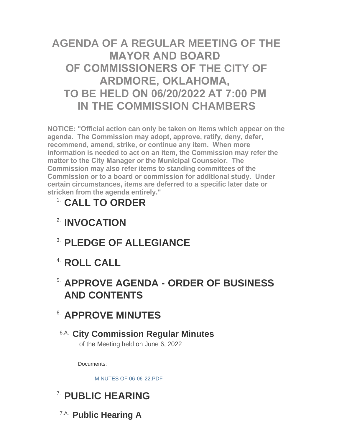# **AGENDA OF A REGULAR MEETING OF THE MAYOR AND BOARD OF COMMISSIONERS OF THE CITY OF ARDMORE, OKLAHOMA, TO BE HELD ON 06/20/2022 AT 7:00 PM IN THE COMMISSION CHAMBERS**

**NOTICE: "Official action can only be taken on items which appear on the agenda. The Commission may adopt, approve, ratify, deny, defer, recommend, amend, strike, or continue any item. When more information is needed to act on an item, the Commission may refer the matter to the City Manager or the Municipal Counselor. The Commission may also refer items to standing committees of the Commission or to a board or commission for additional study. Under certain circumstances, items are deferred to a specific later date or stricken from the agenda entirely."**

# **CALL TO ORDER** 1.

- **INVOCATION** 2.
- **PLEDGE OF ALLEGIANCE** 3.
- **ROLL CALL** 4.

# **APPROVE AGENDA - ORDER OF BUSINESS**  5. **AND CONTENTS**

# **APPROVE MINUTES** 6.

## **City Commission Regular Minutes** 6.A. of the Meeting held on June 6, 2022

Documents:

[MINUTES OF 06-06-22.PDF](http://www.ardmorecity.org/AgendaCenter/ViewFile/Item/8596?fileID=5131)

# **PUBLIC HEARING** 7.

**Public Hearing A** 7.A.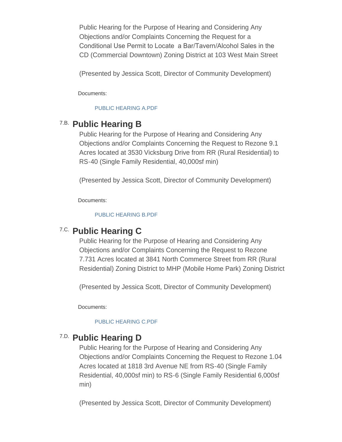Public Hearing for the Purpose of Hearing and Considering Any Objections and/or Complaints Concerning the Request for a Conditional Use Permit to Locate a Bar/Tavern/Alcohol Sales in the CD (Commercial Downtown) Zoning District at 103 West Main Street

(Presented by Jessica Scott, Director of Community Development)

Documents:

#### [PUBLIC HEARING A.PDF](http://www.ardmorecity.org/AgendaCenter/ViewFile/Item/8563?fileID=5133)

## **Public Hearing B** 7.B.

**Public Hearing A**

Public Hearing for the Purpose of Hearing and Considering Any Objections and/or Complaints Concerning the Request to Rezone 9.1 Acres located at 3530 Vicksburg Drive from RR (Rural Residential) to RS-40 (Single Family Residential, 40,000sf min)

(Presented by Jessica Scott, Director of Community Development)

Documents:

#### [PUBLIC HEARING B.PDF](http://www.ardmorecity.org/AgendaCenter/ViewFile/Item/8564?fileID=5134)

## **Public Hearing C** 7.C.

Public Hearing for the Purpose of Hearing and Considering Any Objections and/or Complaints Concerning the Request to Rezone 7.731 Acres located at 3841 North Commerce Street from RR (Rural Residential) Zoning District to MHP (Mobile Home Park) Zoning District

(Presented by Jessica Scott, Director of Community Development)

Documents:

#### [PUBLIC HEARING C.PDF](http://www.ardmorecity.org/AgendaCenter/ViewFile/Item/8565?fileID=5135)

## **Public Hearing D** 7.D.

Public Hearing for the Purpose of Hearing and Considering Any Objections and/or Complaints Concerning the Request to Rezone 1.04 Acres located at 1818 3rd Avenue NE from RS-40 (Single Family Residential, 40,000sf min) to RS-6 (Single Family Residential 6,000sf min)

(Presented by Jessica Scott, Director of Community Development)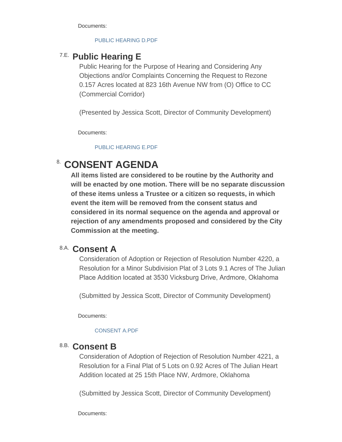Documents:

#### [PUBLIC HEARING D.PDF](http://www.ardmorecity.org/AgendaCenter/ViewFile/Item/8566?fileID=5136)

## **Public Hearing E** 7.E.

Public Hearing for the Purpose of Hearing and Considering Any Objections and/or Complaints Concerning the Request to Rezone 0.157 Acres located at 823 16th Avenue NW from (O) Office to CC (Commercial Corridor)

(Presented by Jessica Scott, Director of Community Development)

Documents:

[PUBLIC HEARING E.PDF](http://www.ardmorecity.org/AgendaCenter/ViewFile/Item/8567?fileID=5137)

# **CONSENT AGENDA**

**All items listed are considered to be routine by the Authority and will be enacted by one motion. There will be no separate discussion of these items unless a Trustee or a citizen so requests, in which event the item will be removed from the consent status and considered in its normal sequence on the agenda and approval or rejection of any amendments proposed and considered by the City Commission at the meeting.**

## **Consent A** 8.A.

Consideration of Adoption or Rejection of Resolution Number 4220, a Resolution for a Minor Subdivision Plat of 3 Lots 9.1 Acres of The Julian Place Addition located at 3530 Vicksburg Drive, Ardmore, Oklahoma

(Submitted by Jessica Scott, Director of Community Development)

Documents:

#### [CONSENT A.PDF](http://www.ardmorecity.org/AgendaCenter/ViewFile/Item/8568?fileID=5138)

### **Consent B** 8.B.

Consideration of Adoption of Rejection of Resolution Number 4221, a Resolution for a Final Plat of 5 Lots on 0.92 Acres of The Julian Heart Addition located at 25 15th Place NW, Ardmore, Oklahoma

(Submitted by Jessica Scott, Director of Community Development)

Documents: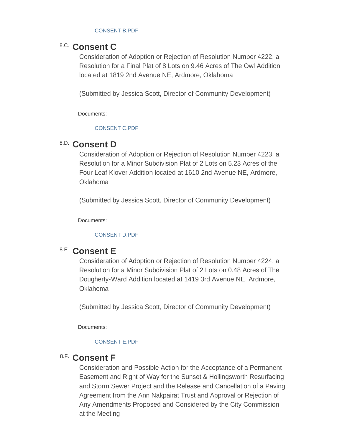#### [CONSENT B.PDF](http://www.ardmorecity.org/AgendaCenter/ViewFile/Item/8569?fileID=5139)

## 8.C. Consent C

Consideration of Adoption or Rejection of Resolution Number 4222, a Resolution for a Final Plat of 8 Lots on 9.46 Acres of The Owl Addition located at 1819 2nd Avenue NE, Ardmore, Oklahoma

(Submitted by Jessica Scott, Director of Community Development)

Documents:

#### [CONSENT C.PDF](http://www.ardmorecity.org/AgendaCenter/ViewFile/Item/8570?fileID=5140)

## **Consent D** 8.D.

Consideration of Adoption or Rejection of Resolution Number 4223, a Resolution for a Minor Subdivision Plat of 2 Lots on 5.23 Acres of the Four Leaf Klover Addition located at 1610 2nd Avenue NE, Ardmore, Oklahoma

(Submitted by Jessica Scott, Director of Community Development)

Documents:

#### [CONSENT D.PDF](http://www.ardmorecity.org/AgendaCenter/ViewFile/Item/8571?fileID=5141)

## **Consent E** 8.E.

Consideration of Adoption or Rejection of Resolution Number 4224, a Resolution for a Minor Subdivision Plat of 2 Lots on 0.48 Acres of The Dougherty-Ward Addition located at 1419 3rd Avenue NE, Ardmore, Oklahoma

(Submitted by Jessica Scott, Director of Community Development)

Documents:

#### [CONSENT E.PDF](http://www.ardmorecity.org/AgendaCenter/ViewFile/Item/8572?fileID=5142)

## 8.F. Consent F

Consideration and Possible Action for the Acceptance of a Permanent Easement and Right of Way for the Sunset & Hollingsworth Resurfacing and Storm Sewer Project and the Release and Cancellation of a Paving Agreement from the Ann Nakpairat Trust and Approval or Rejection of Any Amendments Proposed and Considered by the City Commission at the Meeting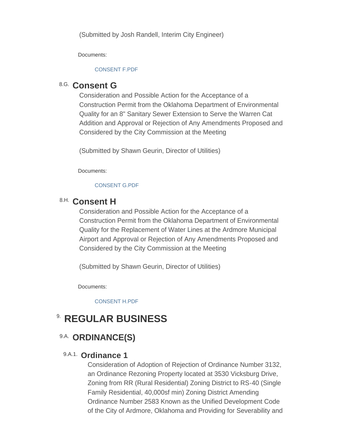(Submitted by Josh Randell, Interim City Engineer)

Documents:

#### [CONSENT F.PDF](http://www.ardmorecity.org/AgendaCenter/ViewFile/Item/8578?fileID=5143)

## 8.G. Consent G

Consideration and Possible Action for the Acceptance of a Construction Permit from the Oklahoma Department of Environmental Quality for an 8" Sanitary Sewer Extension to Serve the Warren Cat Addition and Approval or Rejection of Any Amendments Proposed and Considered by the City Commission at the Meeting

(Submitted by Shawn Geurin, Director of Utilities)

Documents:

### [CONSENT G.PDF](http://www.ardmorecity.org/AgendaCenter/ViewFile/Item/8579?fileID=5144)

## **Consent H** 8.H.

Consideration and Possible Action for the Acceptance of a Construction Permit from the Oklahoma Department of Environmental Quality for the Replacement of Water Lines at the Ardmore Municipal Airport and Approval or Rejection of Any Amendments Proposed and Considered by the City Commission at the Meeting

(Submitted by Shawn Geurin, Director of Utilities)

Documents:

[CONSENT H.PDF](http://www.ardmorecity.org/AgendaCenter/ViewFile/Item/8580?fileID=5145)

# **8. REGULAR BUSINESS**

## 9.A. ORDINANCE(S)

### 9.A.1. Ordinance 1

Consideration of Adoption of Rejection of Ordinance Number 3132, an Ordinance Rezoning Property located at 3530 Vicksburg Drive, Zoning from RR (Rural Residential) Zoning District to RS-40 (Single Family Residential, 40,000sf min) Zoning District Amending Ordinance Number 2583 Known as the Unified Development Code of the City of Ardmore, Oklahoma and Providing for Severability and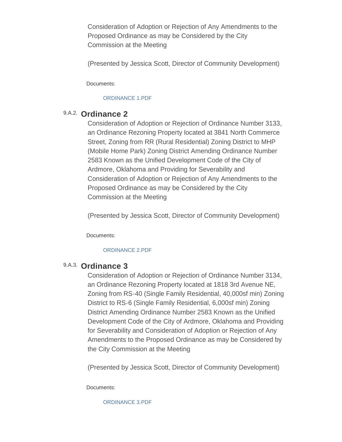Consideration of Adoption or Rejection of Any Amendments to the Proposed Ordinance as may be Considered by the City Commission at the Meeting

(Presented by Jessica Scott, Director of Community Development)

Documents:

#### [ORDINANCE 1.PDF](http://www.ardmorecity.org/AgendaCenter/ViewFile/Item/8573?fileID=5146)

### 9.A.2. Ordinance 2

Consideration of Adoption or Rejection of Ordinance Number 3133, an Ordinance Rezoning Property located at 3841 North Commerce Street, Zoning from RR (Rural Residential) Zoning District to MHP (Mobile Home Park) Zoning District Amending Ordinance Number 2583 Known as the Unified Development Code of the City of Ardmore, Oklahoma and Providing for Severability and Consideration of Adoption or Rejection of Any Amendments to the Proposed Ordinance as may be Considered by the City Commission at the Meeting

(Presented by Jessica Scott, Director of Community Development)

Documents:

#### [ORDINANCE 2.PDF](http://www.ardmorecity.org/AgendaCenter/ViewFile/Item/8574?fileID=5147)

### 9.A.3. Ordinance 3

Consideration of Adoption or Rejection of Ordinance Number 3134, an Ordinance Rezoning Property located at 1818 3rd Avenue NE, Zoning from RS-40 (Single Family Residential, 40,000sf min) Zoning District to RS-6 (Single Family Residential, 6,000sf min) Zoning District Amending Ordinance Number 2583 Known as the Unified Development Code of the City of Ardmore, Oklahoma and Providing for Severability and Consideration of Adoption or Rejection of Any Amendments to the Proposed Ordinance as may be Considered by the City Commission at the Meeting

(Presented by Jessica Scott, Director of Community Development)

Documents:

[ORDINANCE 3.PDF](http://www.ardmorecity.org/AgendaCenter/ViewFile/Item/8575?fileID=5148)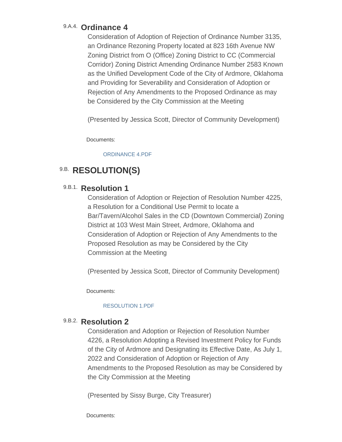## 9.A.4. Ordinance 4

Consideration of Adoption of Rejection of Ordinance Number 3135, an Ordinance Rezoning Property located at 823 16th Avenue NW Zoning District from O (Office) Zoning District to CC (Commercial Corridor) Zoning District Amending Ordinance Number 2583 Known as the Unified Development Code of the City of Ardmore, Oklahoma and Providing for Severability and Consideration of Adoption or Rejection of Any Amendments to the Proposed Ordinance as may be Considered by the City Commission at the Meeting

(Presented by Jessica Scott, Director of Community Development)

Documents:

[ORDINANCE 4.PDF](http://www.ardmorecity.org/AgendaCenter/ViewFile/Item/8576?fileID=5149)

## **9.B. RESOLUTION(S)**

## 9.B.1. Resolution 1

Consideration of Adoption or Rejection of Resolution Number 4225, a Resolution for a Conditional Use Permit to locate a Bar/Tavern/Alcohol Sales in the CD (Downtown Commercial) Zoning District at 103 West Main Street, Ardmore, Oklahoma and Consideration of Adoption or Rejection of Any Amendments to the Proposed Resolution as may be Considered by the City Commission at the Meeting

(Presented by Jessica Scott, Director of Community Development)

Documents:

#### [RESOLUTION 1.PDF](http://www.ardmorecity.org/AgendaCenter/ViewFile/Item/8577?fileID=5150)

### 9.B.2. Resolution 2

Consideration and Adoption or Rejection of Resolution Number 4226, a Resolution Adopting a Revised Investment Policy for Funds of the City of Ardmore and Designating its Effective Date, As July 1, 2022 and Consideration of Adoption or Rejection of Any Amendments to the Proposed Resolution as may be Considered by the City Commission at the Meeting

(Presented by Sissy Burge, City Treasurer)

Documents: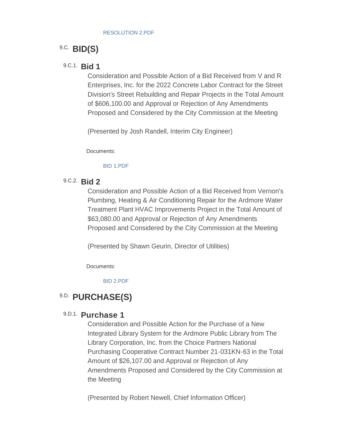## **BID(S)** 9.C.

### **Bid 1** 9.C.1.

Consideration and Possible Action of a Bid Received from V and R Enterprises, Inc. for the 2022 Concrete Labor Contract for the Street Division's Street Rebuilding and Repair Projects in the Total Amount of \$606,100.00 and Approval or Rejection of Any Amendments Proposed and Considered by the City Commission at the Meeting

(Presented by Josh Randell, Interim City Engineer)

Documents:

#### [BID 1.PDF](http://www.ardmorecity.org/AgendaCenter/ViewFile/Item/8581?fileID=5152)

### **Bid 2** 9.C.2.

Consideration and Possible Action of a Bid Received from Vernon's Plumbing, Heating & Air Conditioning Repair for the Ardmore Water Treatment Plant HVAC Improvements Project in the Total Amount of \$63,080.00 and Approval or Rejection of Any Amendments Proposed and Considered by the City Commission at the Meeting

(Presented by Shawn Geurin, Director of Utilities)

Documents:

[BID 2.PDF](http://www.ardmorecity.org/AgendaCenter/ViewFile/Item/8582?fileID=5153)

## **PURCHASE(S)** 9.D.

### 9.D.1. **Purchase 1**

Consideration and Possible Action for the Purchase of a New Integrated Library System for the Ardmore Public Library from The Library Corporation, Inc. from the Choice Partners National Purchasing Cooperative Contract Number 21-031KN-63 in the Total Amount of \$26,107.00 and Approval or Rejection of Any Amendments Proposed and Considered by the City Commission at the Meeting

(Presented by Robert Newell, Chief Information Officer)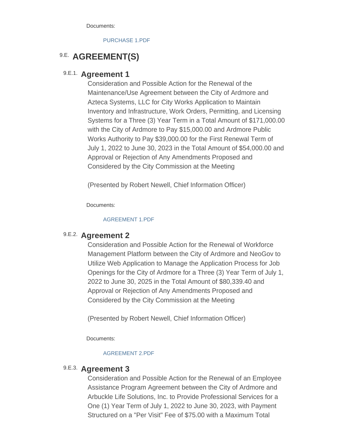Documents:

[PURCHASE 1.PDF](http://www.ardmorecity.org/AgendaCenter/ViewFile/Item/8583?fileID=5154)

## **9.E. AGREEMENT(S)**

### 9.E.1. Agreement 1

Consideration and Possible Action for the Renewal of the Maintenance/Use Agreement between the City of Ardmore and Azteca Systems, LLC for City Works Application to Maintain Inventory and Infrastructure, Work Orders, Permitting, and Licensing Systems for a Three (3) Year Term in a Total Amount of \$171,000.00 with the City of Ardmore to Pay \$15,000.00 and Ardmore Public Works Authority to Pay \$39,000.00 for the First Renewal Term of July 1, 2022 to June 30, 2023 in the Total Amount of \$54,000.00 and Approval or Rejection of Any Amendments Proposed and Considered by the City Commission at the Meeting

(Presented by Robert Newell, Chief Information Officer)

Documents:

#### [AGREEMENT 1.PDF](http://www.ardmorecity.org/AgendaCenter/ViewFile/Item/8584?fileID=5155)

## 9.E.2. **Agreement 2**

Consideration and Possible Action for the Renewal of Workforce Management Platform between the City of Ardmore and NeoGov to Utilize Web Application to Manage the Application Process for Job Openings for the City of Ardmore for a Three (3) Year Term of July 1, 2022 to June 30, 2025 in the Total Amount of \$80,339.40 and Approval or Rejection of Any Amendments Proposed and Considered by the City Commission at the Meeting

(Presented by Robert Newell, Chief Information Officer)

Documents:

#### [AGREEMENT 2.PDF](http://www.ardmorecity.org/AgendaCenter/ViewFile/Item/8585?fileID=5156)

### 9.E.3. Agreement 3

Consideration and Possible Action for the Renewal of an Employee Assistance Program Agreement between the City of Ardmore and Arbuckle Life Solutions, Inc. to Provide Professional Services for a One (1) Year Term of July 1, 2022 to June 30, 2023, with Payment Structured on a "Per Visit" Fee of \$75.00 with a Maximum Total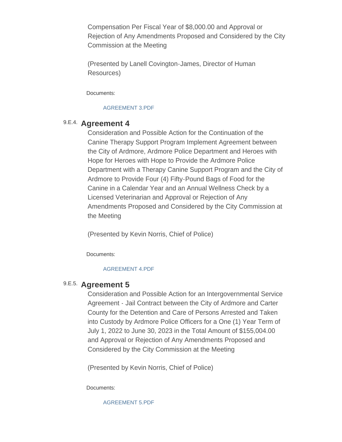Compensation Per Fiscal Year of \$8,000.00 and Approval or Rejection of Any Amendments Proposed and Considered by the City Commission at the Meeting

(Presented by Lanell Covington-James, Director of Human Resources)

Documents:

#### [AGREEMENT 3.PDF](http://www.ardmorecity.org/AgendaCenter/ViewFile/Item/8592?fileID=5157)

### 9.E.4. Agreement 4

Consideration and Possible Action for the Continuation of the Canine Therapy Support Program Implement Agreement between the City of Ardmore, Ardmore Police Department and Heroes with Hope for Heroes with Hope to Provide the Ardmore Police Department with a Therapy Canine Support Program and the City of Ardmore to Provide Four (4) Fifty-Pound Bags of Food for the Canine in a Calendar Year and an Annual Wellness Check by a Licensed Veterinarian and Approval or Rejection of Any Amendments Proposed and Considered by the City Commission at the Meeting

(Presented by Kevin Norris, Chief of Police)

Documents:

#### [AGREEMENT 4.PDF](http://www.ardmorecity.org/AgendaCenter/ViewFile/Item/8586?fileID=5158)

### 9.E.5. Agreement 5

Consideration and Possible Action for an Intergovernmental Service Agreement - Jail Contract between the City of Ardmore and Carter County for the Detention and Care of Persons Arrested and Taken into Custody by Ardmore Police Officers for a One (1) Year Term of July 1, 2022 to June 30, 2023 in the Total Amount of \$155,004.00 and Approval or Rejection of Any Amendments Proposed and Considered by the City Commission at the Meeting

(Presented by Kevin Norris, Chief of Police)

Documents:

[AGREEMENT 5.PDF](http://www.ardmorecity.org/AgendaCenter/ViewFile/Item/8587?fileID=5159)